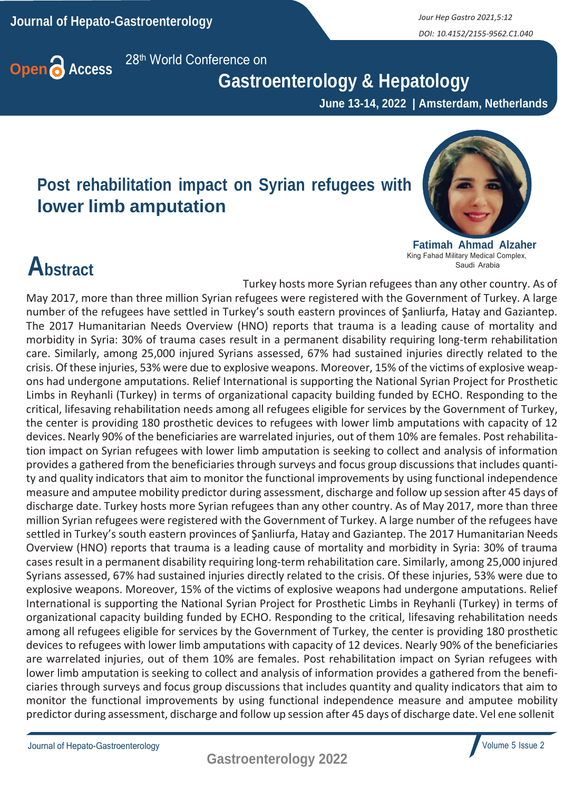*DOI: 10.4152/2155-9562.C1.040*



 **Gastroenterology & Hepatology**

 **June 13-14, 2022 | Amsterdam, Netherlands**

## **Post rehabilitation impact on Syrian refugees with lower limb amputation**



**Fatimah Ahmad Alzaher** King Fahad Military Medical Complex, Saudi Arabia

## **Abstract**

May 2017, more than three million Syrian refugees were registered with the Government of Turkey. A large number of the refugees have settled in Turkey's south eastern provinces of Şanliurfa, Hatay and Gaziantep. The 2017 Humanitarian Needs Overview (HNO) reports that trauma is a leading cause of mortality and morbidity in Syria: 30% of trauma cases result in a permanent disability requiring long-term rehabilitation care. Similarly, among 25,000 injured Syrians assessed, 67% had sustained injuries directly related to the crisis. Of these injuries, 53% were due to explosive weapons. Moreover, 15% of the victims of explosive weapons had undergone amputations. Relief International is supporting the National Syrian Project for Prosthetic

Turkey hosts more Syrian refugees than any other country. As of

Limbs in Reyhanli (Turkey) in terms of organizational capacity building funded by ECHO. Responding to the critical, lifesaving rehabilitation needs among all refugees eligible for services by the Government of Turkey, the center is providing 180 prosthetic devices to refugees with lower limb amputations with capacity of 12 devices. Nearly 90% of the beneficiaries are warrelated injuries, out of them 10% are females. Post rehabilitation impact on Syrian refugees with lower limb amputation is seeking to collect and analysis of information provides a gathered from the beneficiaries through surveys and focus group discussions that includes quantity and quality indicators that aim to monitor the functional improvements by using functional independence measure and amputee mobility predictor during assessment, discharge and follow up session after 45 days of discharge date. Turkey hosts more Syrian refugees than any other country. As of May 2017, more than three million Syrian refugees were registered with the Government of Turkey. A large number of the refugees have settled in Turkey's south eastern provinces of Şanliurfa, Hatay and Gaziantep. The 2017 Humanitarian Needs Overview (HNO) reports that trauma is a leading cause of mortality and morbidity in Syria: 30% of trauma casesresult in a permanent disability requiring long-term rehabilitation care. Similarly, among 25,000 injured Syrians assessed, 67% had sustained injuries directly related to the crisis. Of these injuries, 53% were due to explosive weapons. Moreover, 15% of the victims of explosive weapons had undergone amputations. Relief International is supporting the National Syrian Project for Prosthetic Limbs in Reyhanli (Turkey) in terms of organizational capacity building funded by ECHO. Responding to the critical, lifesaving rehabilitation needs among all refugees eligible for services by the Government of Turkey, the center is providing 180 prosthetic devices to refugees with lower limb amputations with capacity of 12 devices. Nearly 90% of the beneficiaries are warrelated injuries, out of them 10% are females. Post rehabilitation impact on Syrian refugees with lower limb amputation is seeking to collect and analysis of information provides a gathered from the beneficiaries through surveys and focus group discussions that includes quantity and quality indicators that aim to monitor the functional improvements by using functional independence measure and amputee mobility predictor during assessment, discharge and follow up session after 45 days of discharge date. Vel ene sollenit